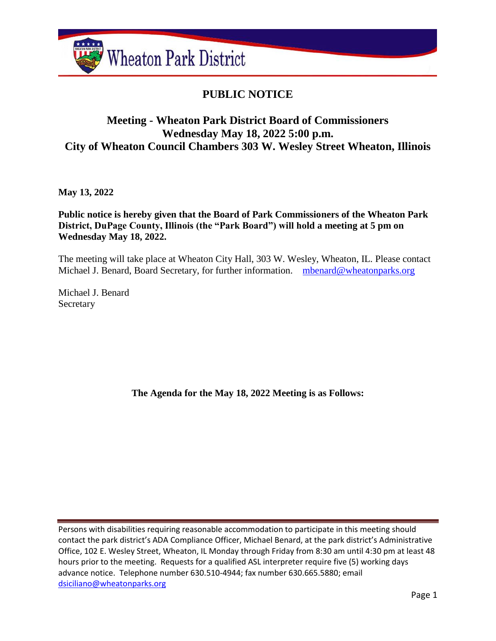

# **PUBLIC NOTICE**

## **Meeting - Wheaton Park District Board of Commissioners Wednesday May 18, 2022 5:00 p.m. City of Wheaton Council Chambers 303 W. Wesley Street Wheaton, Illinois**

**May 13, 2022**

**Public notice is hereby given that the Board of Park Commissioners of the Wheaton Park District, DuPage County, Illinois (the "Park Board") will hold a meeting at 5 pm on Wednesday May 18, 2022.**

The meeting will take place at Wheaton City Hall, 303 W. Wesley, Wheaton, IL. Please contact Michael J. Benard, Board Secretary, for further information. [mbenard@wheatonparks.org](mailto:mbenard@wheatonparks.org)

Michael J. Benard Secretary

**The Agenda for the May 18, 2022 Meeting is as Follows:**

Persons with disabilities requiring reasonable accommodation to participate in this meeting should contact the park district's ADA Compliance Officer, Michael Benard, at the park district's Administrative Office, 102 E. Wesley Street, Wheaton, IL Monday through Friday from 8:30 am until 4:30 pm at least 48 hours prior to the meeting. Requests for a qualified ASL interpreter require five (5) working days advance notice. Telephone number 630.510-4944; fax number 630.665.5880; email [dsiciliano@wheatonparks.org](mailto:dsiciliano@wheatonparks.org)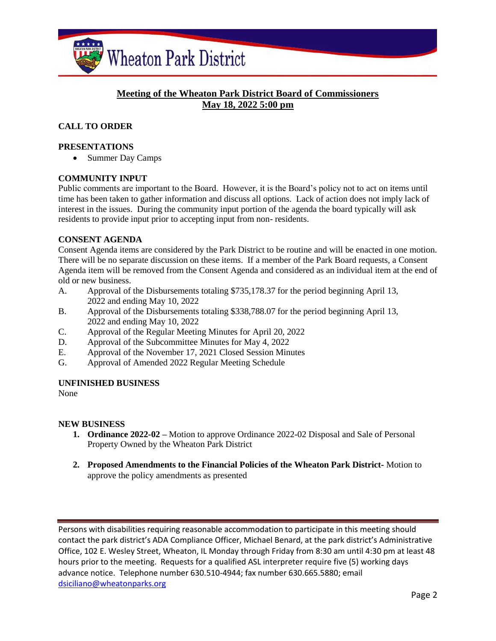

## **Meeting of the Wheaton Park District Board of Commissioners May 18, 2022 5:00 pm**

## **CALL TO ORDER**

#### **PRESENTATIONS**

• Summer Day Camps

#### **COMMUNITY INPUT**

Public comments are important to the Board. However, it is the Board's policy not to act on items until time has been taken to gather information and discuss all options. Lack of action does not imply lack of interest in the issues. During the community input portion of the agenda the board typically will ask residents to provide input prior to accepting input from non- residents.

#### **CONSENT AGENDA**

Consent Agenda items are considered by the Park District to be routine and will be enacted in one motion. There will be no separate discussion on these items. If a member of the Park Board requests, a Consent Agenda item will be removed from the Consent Agenda and considered as an individual item at the end of old or new business.

- A. Approval of the Disbursements totaling \$735,178.37 for the period beginning April 13, 2022 and ending May 10, 2022
- B. Approval of the Disbursements totaling \$338,788.07 for the period beginning April 13, 2022 and ending May 10, 2022
- C. Approval of the Regular Meeting Minutes for April 20, 2022
- D. Approval of the Subcommittee Minutes for May 4, 2022
- E. Approval of the November 17, 2021 Closed Session Minutes
- G. Approval of Amended 2022 Regular Meeting Schedule

#### **UNFINISHED BUSINESS**

None

#### **NEW BUSINESS**

- **1. Ordinance 2022-02 –** Motion to approve Ordinance 2022-02 Disposal and Sale of Personal Property Owned by the Wheaton Park District
- **2. Proposed Amendments to the Financial Policies of the Wheaton Park District-** Motion to approve the policy amendments as presented

Persons with disabilities requiring reasonable accommodation to participate in this meeting should contact the park district's ADA Compliance Officer, Michael Benard, at the park district's Administrative Office, 102 E. Wesley Street, Wheaton, IL Monday through Friday from 8:30 am until 4:30 pm at least 48 hours prior to the meeting. Requests for a qualified ASL interpreter require five (5) working days advance notice. Telephone number 630.510-4944; fax number 630.665.5880; email [dsiciliano@wheatonparks.org](mailto:dsiciliano@wheatonparks.org)